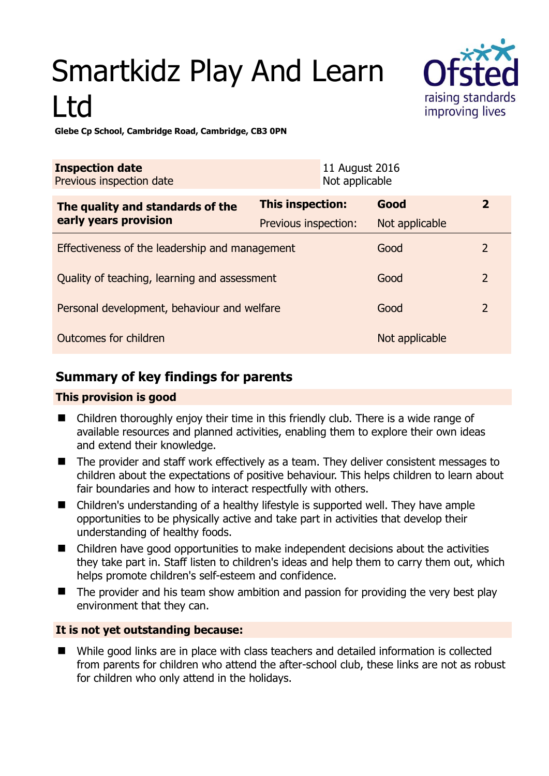# Smartkidz Play And Learn Ltd



**Glebe Cp School, Cambridge Road, Cambridge, CB3 0PN** 

| <b>Inspection date</b><br>Previous inspection date        |                         | 11 August 2016<br>Not applicable |                |                         |
|-----------------------------------------------------------|-------------------------|----------------------------------|----------------|-------------------------|
| The quality and standards of the<br>early years provision | <b>This inspection:</b> |                                  | Good           | $\overline{\mathbf{2}}$ |
|                                                           | Previous inspection:    |                                  | Not applicable |                         |
| Effectiveness of the leadership and management            |                         |                                  | Good           | $\overline{2}$          |
| Quality of teaching, learning and assessment              |                         |                                  | Good           | $\overline{2}$          |
| Personal development, behaviour and welfare               |                         |                                  | Good           | $\overline{2}$          |
| Outcomes for children                                     |                         |                                  | Not applicable |                         |

## **Summary of key findings for parents**

#### **This provision is good**

- Children thoroughly enjoy their time in this friendly club. There is a wide range of available resources and planned activities, enabling them to explore their own ideas and extend their knowledge.
- The provider and staff work effectively as a team. They deliver consistent messages to children about the expectations of positive behaviour. This helps children to learn about fair boundaries and how to interact respectfully with others.
- Children's understanding of a healthy lifestyle is supported well. They have ample opportunities to be physically active and take part in activities that develop their understanding of healthy foods.
- Children have good opportunities to make independent decisions about the activities they take part in. Staff listen to children's ideas and help them to carry them out, which helps promote children's self-esteem and confidence.
- The provider and his team show ambition and passion for providing the very best play environment that they can.

#### **It is not yet outstanding because:**

■ While good links are in place with class teachers and detailed information is collected from parents for children who attend the after-school club, these links are not as robust for children who only attend in the holidays.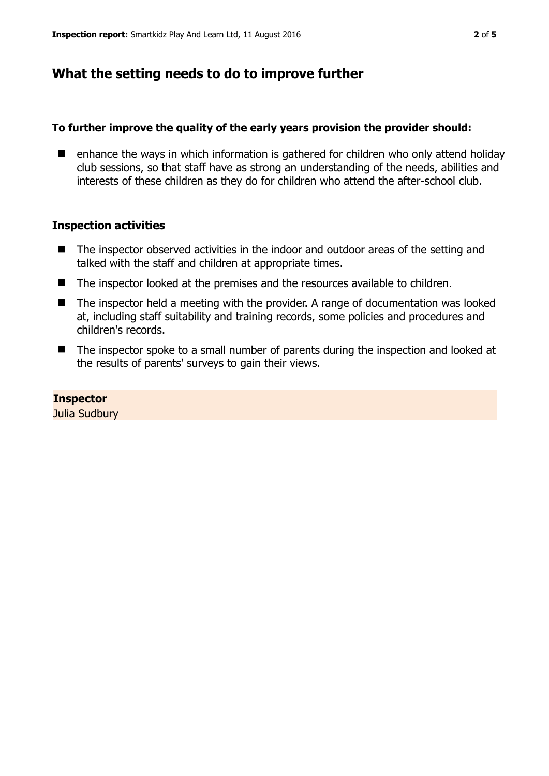## **What the setting needs to do to improve further**

#### **To further improve the quality of the early years provision the provider should:**

 $\blacksquare$  enhance the ways in which information is gathered for children who only attend holiday club sessions, so that staff have as strong an understanding of the needs, abilities and interests of these children as they do for children who attend the after-school club.

#### **Inspection activities**

- The inspector observed activities in the indoor and outdoor areas of the setting and talked with the staff and children at appropriate times.
- The inspector looked at the premises and the resources available to children.
- The inspector held a meeting with the provider. A range of documentation was looked at, including staff suitability and training records, some policies and procedures and children's records.
- The inspector spoke to a small number of parents during the inspection and looked at the results of parents' surveys to gain their views.

#### **Inspector**

Julia Sudbury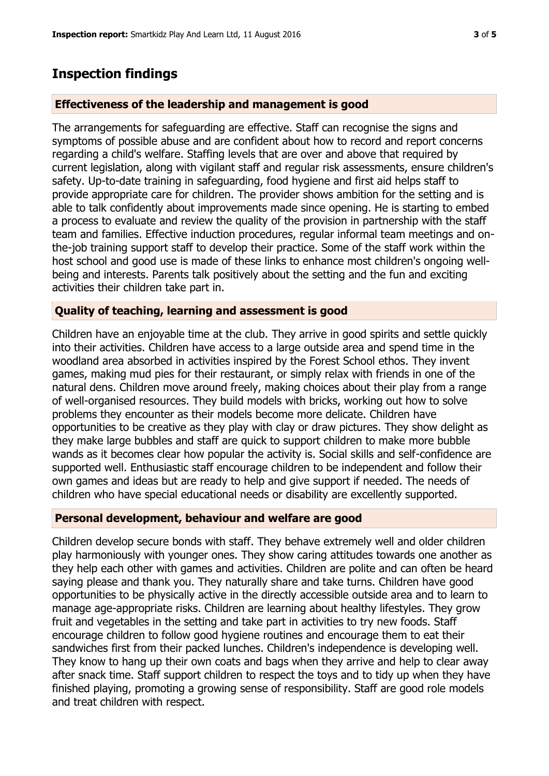### **Inspection findings**

#### **Effectiveness of the leadership and management is good**

The arrangements for safeguarding are effective. Staff can recognise the signs and symptoms of possible abuse and are confident about how to record and report concerns regarding a child's welfare. Staffing levels that are over and above that required by current legislation, along with vigilant staff and regular risk assessments, ensure children's safety. Up-to-date training in safeguarding, food hygiene and first aid helps staff to provide appropriate care for children. The provider shows ambition for the setting and is able to talk confidently about improvements made since opening. He is starting to embed a process to evaluate and review the quality of the provision in partnership with the staff team and families. Effective induction procedures, regular informal team meetings and onthe-job training support staff to develop their practice. Some of the staff work within the host school and good use is made of these links to enhance most children's ongoing wellbeing and interests. Parents talk positively about the setting and the fun and exciting activities their children take part in.

#### **Quality of teaching, learning and assessment is good**

Children have an enjoyable time at the club. They arrive in good spirits and settle quickly into their activities. Children have access to a large outside area and spend time in the woodland area absorbed in activities inspired by the Forest School ethos. They invent games, making mud pies for their restaurant, or simply relax with friends in one of the natural dens. Children move around freely, making choices about their play from a range of well-organised resources. They build models with bricks, working out how to solve problems they encounter as their models become more delicate. Children have opportunities to be creative as they play with clay or draw pictures. They show delight as they make large bubbles and staff are quick to support children to make more bubble wands as it becomes clear how popular the activity is. Social skills and self-confidence are supported well. Enthusiastic staff encourage children to be independent and follow their own games and ideas but are ready to help and give support if needed. The needs of children who have special educational needs or disability are excellently supported.

#### **Personal development, behaviour and welfare are good**

Children develop secure bonds with staff. They behave extremely well and older children play harmoniously with younger ones. They show caring attitudes towards one another as they help each other with games and activities. Children are polite and can often be heard saying please and thank you. They naturally share and take turns. Children have good opportunities to be physically active in the directly accessible outside area and to learn to manage age-appropriate risks. Children are learning about healthy lifestyles. They grow fruit and vegetables in the setting and take part in activities to try new foods. Staff encourage children to follow good hygiene routines and encourage them to eat their sandwiches first from their packed lunches. Children's independence is developing well. They know to hang up their own coats and bags when they arrive and help to clear away after snack time. Staff support children to respect the toys and to tidy up when they have finished playing, promoting a growing sense of responsibility. Staff are good role models and treat children with respect.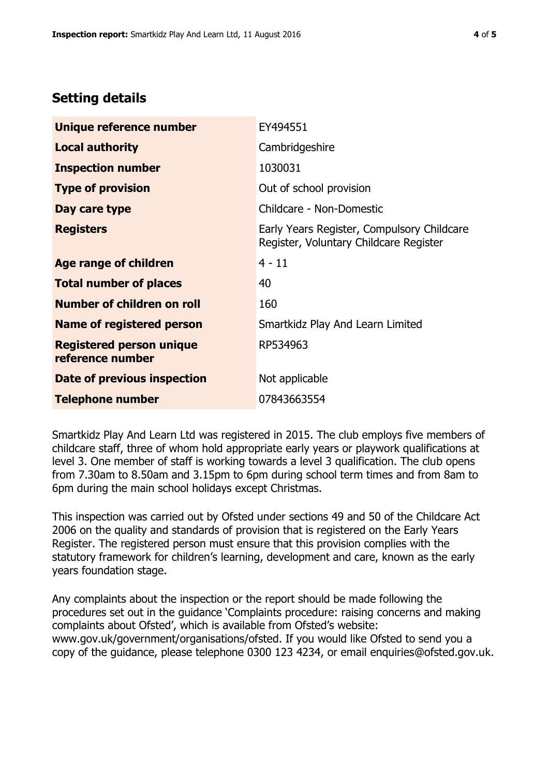# **Setting details**

| Unique reference number                             | EY494551                                                                             |  |
|-----------------------------------------------------|--------------------------------------------------------------------------------------|--|
| <b>Local authority</b>                              | Cambridgeshire                                                                       |  |
| <b>Inspection number</b>                            | 1030031                                                                              |  |
| <b>Type of provision</b>                            | Out of school provision                                                              |  |
| Day care type                                       | Childcare - Non-Domestic                                                             |  |
| <b>Registers</b>                                    | Early Years Register, Compulsory Childcare<br>Register, Voluntary Childcare Register |  |
| <b>Age range of children</b>                        | $4 - 11$                                                                             |  |
| <b>Total number of places</b>                       | 40                                                                                   |  |
| Number of children on roll                          | 160                                                                                  |  |
| Name of registered person                           | Smartkidz Play And Learn Limited                                                     |  |
| <b>Registered person unique</b><br>reference number | RP534963                                                                             |  |
| <b>Date of previous inspection</b>                  | Not applicable                                                                       |  |
| <b>Telephone number</b>                             | 07843663554                                                                          |  |

Smartkidz Play And Learn Ltd was registered in 2015. The club employs five members of childcare staff, three of whom hold appropriate early years or playwork qualifications at level 3. One member of staff is working towards a level 3 qualification. The club opens from 7.30am to 8.50am and 3.15pm to 6pm during school term times and from 8am to 6pm during the main school holidays except Christmas.

This inspection was carried out by Ofsted under sections 49 and 50 of the Childcare Act 2006 on the quality and standards of provision that is registered on the Early Years Register. The registered person must ensure that this provision complies with the statutory framework for children's learning, development and care, known as the early years foundation stage.

Any complaints about the inspection or the report should be made following the procedures set out in the guidance 'Complaints procedure: raising concerns and making complaints about Ofsted', which is available from Ofsted's website: www.gov.uk/government/organisations/ofsted. If you would like Ofsted to send you a copy of the guidance, please telephone 0300 123 4234, or email enquiries@ofsted.gov.uk.